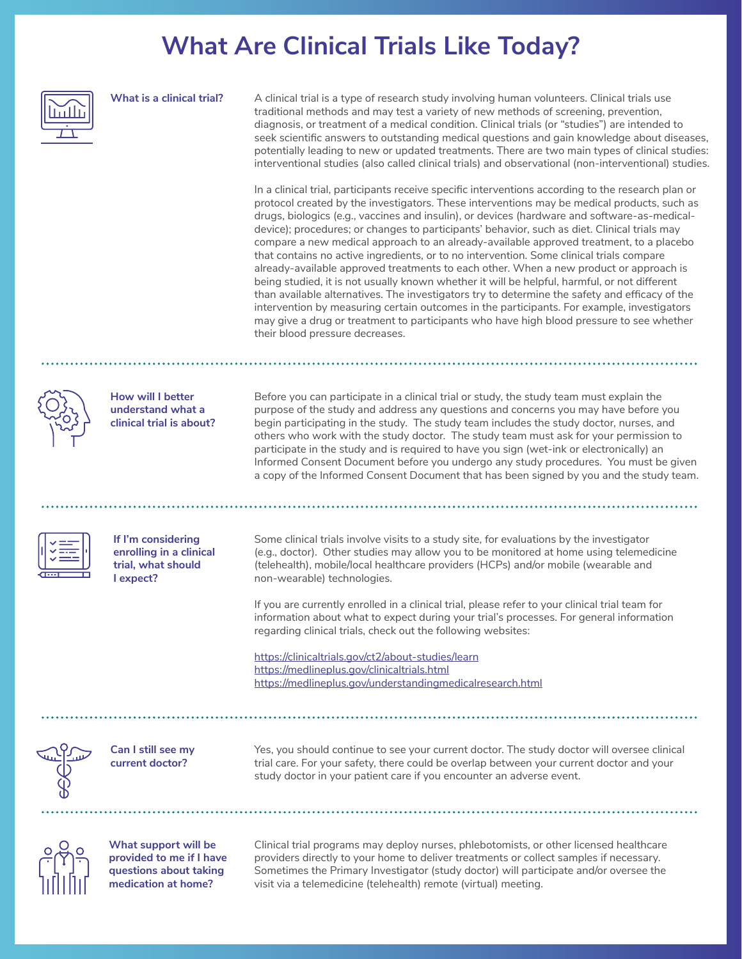## **What Are Clinical Trials Like Today?**

|  | What is a clinical trial?                                                                         | A clinical trial is a type of research study involving human volunteers. Clinical trials use<br>traditional methods and may test a variety of new methods of screening, prevention,<br>diagnosis, or treatment of a medical condition. Clinical trials (or "studies") are intended to<br>seek scientific answers to outstanding medical questions and gain knowledge about diseases,<br>potentially leading to new or updated treatments. There are two main types of clinical studies:<br>interventional studies (also called clinical trials) and observational (non-interventional) studies.<br>In a clinical trial, participants receive specific interventions according to the research plan or<br>protocol created by the investigators. These interventions may be medical products, such as<br>drugs, biologics (e.g., vaccines and insulin), or devices (hardware and software-as-medical-<br>device); procedures; or changes to participants' behavior, such as diet. Clinical trials may<br>compare a new medical approach to an already-available approved treatment, to a placebo<br>that contains no active ingredients, or to no intervention. Some clinical trials compare<br>already-available approved treatments to each other. When a new product or approach is<br>being studied, it is not usually known whether it will be helpful, harmful, or not different<br>than available alternatives. The investigators try to determine the safety and efficacy of the<br>intervention by measuring certain outcomes in the participants. For example, investigators<br>may give a drug or treatment to participants who have high blood pressure to see whether<br>their blood pressure decreases. |  |  |
|--|---------------------------------------------------------------------------------------------------|----------------------------------------------------------------------------------------------------------------------------------------------------------------------------------------------------------------------------------------------------------------------------------------------------------------------------------------------------------------------------------------------------------------------------------------------------------------------------------------------------------------------------------------------------------------------------------------------------------------------------------------------------------------------------------------------------------------------------------------------------------------------------------------------------------------------------------------------------------------------------------------------------------------------------------------------------------------------------------------------------------------------------------------------------------------------------------------------------------------------------------------------------------------------------------------------------------------------------------------------------------------------------------------------------------------------------------------------------------------------------------------------------------------------------------------------------------------------------------------------------------------------------------------------------------------------------------------------------------------------------------------------------------------------------------------------------------------------|--|--|
|  |                                                                                                   |                                                                                                                                                                                                                                                                                                                                                                                                                                                                                                                                                                                                                                                                                                                                                                                                                                                                                                                                                                                                                                                                                                                                                                                                                                                                                                                                                                                                                                                                                                                                                                                                                                                                                                                      |  |  |
|  | <b>How will I better</b><br>understand what a<br>clinical trial is about?                         | Before you can participate in a clinical trial or study, the study team must explain the<br>purpose of the study and address any questions and concerns you may have before you<br>begin participating in the study. The study team includes the study doctor, nurses, and<br>others who work with the study doctor. The study team must ask for your permission to<br>participate in the study and is required to have you sign (wet-ink or electronically) an<br>Informed Consent Document before you undergo any study procedures. You must be given<br>a copy of the Informed Consent Document that has been signed by you and the study team.                                                                                                                                                                                                                                                                                                                                                                                                                                                                                                                                                                                                                                                                                                                                                                                                                                                                                                                                                                                                                                                                   |  |  |
|  |                                                                                                   |                                                                                                                                                                                                                                                                                                                                                                                                                                                                                                                                                                                                                                                                                                                                                                                                                                                                                                                                                                                                                                                                                                                                                                                                                                                                                                                                                                                                                                                                                                                                                                                                                                                                                                                      |  |  |
|  |                                                                                                   |                                                                                                                                                                                                                                                                                                                                                                                                                                                                                                                                                                                                                                                                                                                                                                                                                                                                                                                                                                                                                                                                                                                                                                                                                                                                                                                                                                                                                                                                                                                                                                                                                                                                                                                      |  |  |
|  | If I'm considering<br>enrolling in a clinical<br>trial, what should<br>I expect?                  | Some clinical trials involve visits to a study site, for evaluations by the investigator<br>(e.g., doctor). Other studies may allow you to be monitored at home using telemedicine<br>(telehealth), mobile/local healthcare providers (HCPs) and/or mobile (wearable and<br>non-wearable) technologies.                                                                                                                                                                                                                                                                                                                                                                                                                                                                                                                                                                                                                                                                                                                                                                                                                                                                                                                                                                                                                                                                                                                                                                                                                                                                                                                                                                                                              |  |  |
|  |                                                                                                   | If you are currently enrolled in a clinical trial, please refer to your clinical trial team for<br>information about what to expect during your trial's processes. For general information<br>regarding clinical trials, check out the following websites:                                                                                                                                                                                                                                                                                                                                                                                                                                                                                                                                                                                                                                                                                                                                                                                                                                                                                                                                                                                                                                                                                                                                                                                                                                                                                                                                                                                                                                                           |  |  |
|  |                                                                                                   | https://clinicaltrials.gov/ct2/about-studies/learn                                                                                                                                                                                                                                                                                                                                                                                                                                                                                                                                                                                                                                                                                                                                                                                                                                                                                                                                                                                                                                                                                                                                                                                                                                                                                                                                                                                                                                                                                                                                                                                                                                                                   |  |  |
|  |                                                                                                   | https://medlineplus.gov/clinicaltrials.html                                                                                                                                                                                                                                                                                                                                                                                                                                                                                                                                                                                                                                                                                                                                                                                                                                                                                                                                                                                                                                                                                                                                                                                                                                                                                                                                                                                                                                                                                                                                                                                                                                                                          |  |  |
|  |                                                                                                   | https://medlineplus.gov/understandingmedicalresearch.html                                                                                                                                                                                                                                                                                                                                                                                                                                                                                                                                                                                                                                                                                                                                                                                                                                                                                                                                                                                                                                                                                                                                                                                                                                                                                                                                                                                                                                                                                                                                                                                                                                                            |  |  |
|  |                                                                                                   |                                                                                                                                                                                                                                                                                                                                                                                                                                                                                                                                                                                                                                                                                                                                                                                                                                                                                                                                                                                                                                                                                                                                                                                                                                                                                                                                                                                                                                                                                                                                                                                                                                                                                                                      |  |  |
|  | Can I still see my<br>current doctor?                                                             | Yes, you should continue to see your current doctor. The study doctor will oversee clinical<br>trial care. For your safety, there could be overlap between your current doctor and your<br>study doctor in your patient care if you encounter an adverse event.                                                                                                                                                                                                                                                                                                                                                                                                                                                                                                                                                                                                                                                                                                                                                                                                                                                                                                                                                                                                                                                                                                                                                                                                                                                                                                                                                                                                                                                      |  |  |
|  |                                                                                                   |                                                                                                                                                                                                                                                                                                                                                                                                                                                                                                                                                                                                                                                                                                                                                                                                                                                                                                                                                                                                                                                                                                                                                                                                                                                                                                                                                                                                                                                                                                                                                                                                                                                                                                                      |  |  |
|  | What support will be<br>provided to me if I have<br>questions about taking<br>medication at home? | Clinical trial programs may deploy nurses, phlebotomists, or other licensed healthcare<br>providers directly to your home to deliver treatments or collect samples if necessary.<br>Sometimes the Primary Investigator (study doctor) will participate and/or oversee the<br>visit via a telemedicine (telehealth) remote (virtual) meeting.                                                                                                                                                                                                                                                                                                                                                                                                                                                                                                                                                                                                                                                                                                                                                                                                                                                                                                                                                                                                                                                                                                                                                                                                                                                                                                                                                                         |  |  |